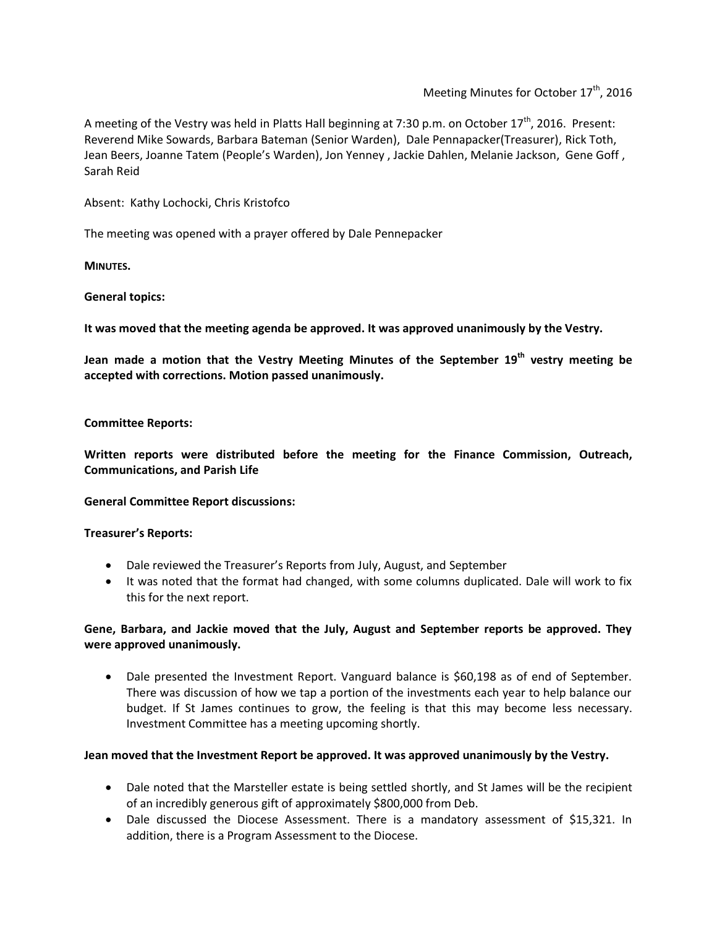Meeting Minutes for October  $17<sup>th</sup>$ , 2016

A meeting of the Vestry was held in Platts Hall beginning at 7:30 p.m. on October 17<sup>th</sup>, 2016. Present: Reverend Mike Sowards, Barbara Bateman (Senior Warden), Dale Pennapacker(Treasurer), Rick Toth, Jean Beers, Joanne Tatem (People's Warden), Jon Yenney , Jackie Dahlen, Melanie Jackson, Gene Goff , Sarah Reid

Absent: Kathy Lochocki, Chris Kristofco

The meeting was opened with a prayer offered by Dale Pennepacker

**MINUTES.**

### **General topics:**

**It was moved that the meeting agenda be approved. It was approved unanimously by the Vestry.**

**Jean made a motion that the Vestry Meeting Minutes of the September 19th vestry meeting be accepted with corrections. Motion passed unanimously.**

#### **Committee Reports:**

**Written reports were distributed before the meeting for the Finance Commission, Outreach, Communications, and Parish Life**

#### **General Committee Report discussions:**

**Treasurer's Reports:**

- Dale reviewed the Treasurer's Reports from July, August, and September
- It was noted that the format had changed, with some columns duplicated. Dale will work to fix this for the next report.

## **Gene, Barbara, and Jackie moved that the July, August and September reports be approved. They were approved unanimously.**

• Dale presented the Investment Report. Vanguard balance is \$60,198 as of end of September. There was discussion of how we tap a portion of the investments each year to help balance our budget. If St James continues to grow, the feeling is that this may become less necessary. Investment Committee has a meeting upcoming shortly.

## **Jean moved that the Investment Report be approved. It was approved unanimously by the Vestry.**

- Dale noted that the Marsteller estate is being settled shortly, and St James will be the recipient of an incredibly generous gift of approximately \$800,000 from Deb.
- Dale discussed the Diocese Assessment. There is a mandatory assessment of \$15,321. In addition, there is a Program Assessment to the Diocese.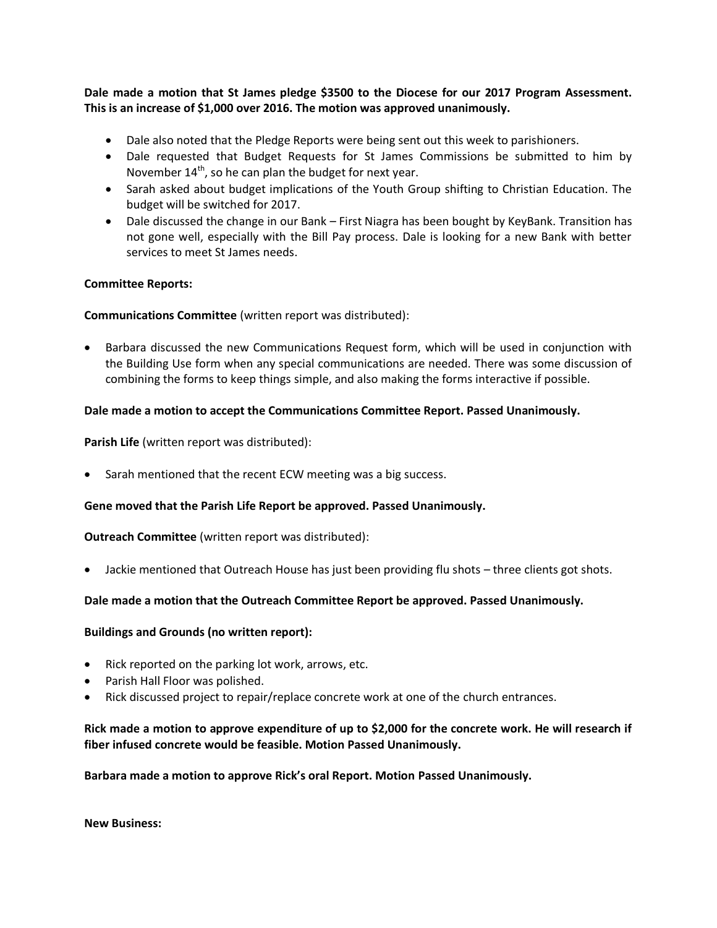**Dale made a motion that St James pledge \$3500 to the Diocese for our 2017 Program Assessment. This is an increase of \$1,000 over 2016. The motion was approved unanimously.**

- Dale also noted that the Pledge Reports were being sent out this week to parishioners.
- Dale requested that Budget Requests for St James Commissions be submitted to him by November  $14<sup>th</sup>$ , so he can plan the budget for next year.
- Sarah asked about budget implications of the Youth Group shifting to Christian Education. The budget will be switched for 2017.
- Dale discussed the change in our Bank First Niagra has been bought by KeyBank. Transition has not gone well, especially with the Bill Pay process. Dale is looking for a new Bank with better services to meet St James needs.

### **Committee Reports:**

### **Communications Committee** (written report was distributed):

 Barbara discussed the new Communications Request form, which will be used in conjunction with the Building Use form when any special communications are needed. There was some discussion of combining the forms to keep things simple, and also making the forms interactive if possible.

### **Dale made a motion to accept the Communications Committee Report. Passed Unanimously.**

**Parish Life** (written report was distributed):

• Sarah mentioned that the recent ECW meeting was a big success.

#### **Gene moved that the Parish Life Report be approved. Passed Unanimously.**

#### **Outreach Committee** (written report was distributed):

Jackie mentioned that Outreach House has just been providing flu shots – three clients got shots.

#### **Dale made a motion that the Outreach Committee Report be approved. Passed Unanimously.**

#### **Buildings and Grounds (no written report):**

- Rick reported on the parking lot work, arrows, etc.
- Parish Hall Floor was polished.
- Rick discussed project to repair/replace concrete work at one of the church entrances.

## **Rick made a motion to approve expenditure of up to \$2,000 for the concrete work. He will research if fiber infused concrete would be feasible. Motion Passed Unanimously.**

**Barbara made a motion to approve Rick's oral Report. Motion Passed Unanimously.**

**New Business:**